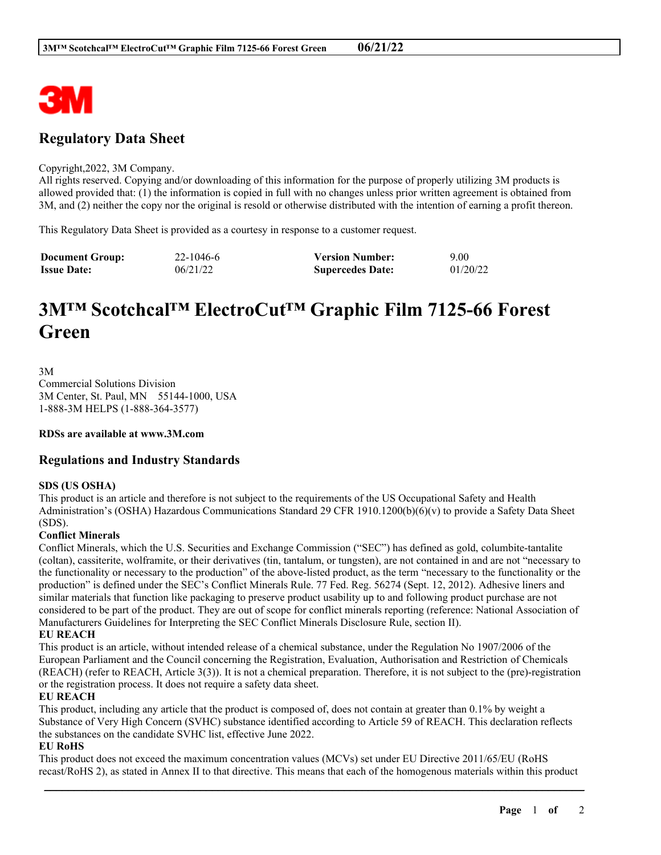

# **Regulatory Data Sheet**

#### Copyright,2022, 3M Company.

All rights reserved. Copying and/or downloading of this information for the purpose of properly utilizing 3M products is allowed provided that: (1) the information is copied in full with no changes unless prior written agreement is obtained from 3M, and (2) neither the copy nor the original is resold or otherwise distributed with the intention of earning a profit thereon.

This Regulatory Data Sheet is provided as a courtesy in response to a customer request.

| <b>Document Group:</b> | 22-1046-6 | <b>Version Number:</b>  | 9.00     |
|------------------------|-----------|-------------------------|----------|
| <b>Issue Date:</b>     | 06/21/22  | <b>Supercedes Date:</b> | 01/20/22 |

# **3M™ Scotchcal™ ElectroCut™ Graphic Film 7125-66 Forest Green**

3M Commercial Solutions Division 3M Center, St. Paul, MN 55144-1000, USA 1-888-3M HELPS (1-888-364-3577)

**RDSs are available at www.3M.com**

# **Regulations and Industry Standards**

#### **SDS (US OSHA)**

This product is an article and therefore is not subject to the requirements of the US Occupational Safety and Health Administration's (OSHA) Hazardous Communications Standard 29 CFR 1910.1200(b)(6)(v) to provide a Safety Data Sheet (SDS).

# **Conflict Minerals**

Conflict Minerals, which the U.S. Securities and Exchange Commission ("SEC") has defined as gold, columbite-tantalite (coltan), cassiterite, wolframite, or their derivatives (tin, tantalum, or tungsten), are not contained in and are not "necessary to the functionality or necessary to the production" of the above-listed product, as the term "necessary to the functionality or the production" is defined under the SEC's Conflict Minerals Rule. 77 Fed. Reg. 56274 (Sept. 12, 2012). Adhesive liners and similar materials that function like packaging to preserve product usability up to and following product purchase are not considered to be part of the product. They are out of scope for conflict minerals reporting (reference: National Association of Manufacturers Guidelines for Interpreting the SEC Conflict Minerals Disclosure Rule, section II).

## **EU REACH**

This product is an article, without intended release of a chemical substance, under the Regulation No 1907/2006 of the European Parliament and the Council concerning the Registration, Evaluation, Authorisation and Restriction of Chemicals (REACH) (refer to REACH, Article 3(3)). It is not a chemical preparation. Therefore, it is not subject to the (pre)-registration or the registration process. It does not require a safety data sheet.

#### **EU REACH**

This product, including any article that the product is composed of, does not contain at greater than 0.1% by weight a Substance of Very High Concern (SVHC) substance identified according to Article 59 of REACH. This declaration reflects the substances on the candidate SVHC list, effective June 2022.

## **EU RoHS**

This product does not exceed the maximum concentration values (MCVs) set under EU Directive 2011/65/EU (RoHS recast/RoHS 2), as stated in Annex II to that directive. This means that each of the homogenous materials within this product

\_\_\_\_\_\_\_\_\_\_\_\_\_\_\_\_\_\_\_\_\_\_\_\_\_\_\_\_\_\_\_\_\_\_\_\_\_\_\_\_\_\_\_\_\_\_\_\_\_\_\_\_\_\_\_\_\_\_\_\_\_\_\_\_\_\_\_\_\_\_\_\_\_\_\_\_\_\_\_\_\_\_\_\_\_\_\_\_\_\_